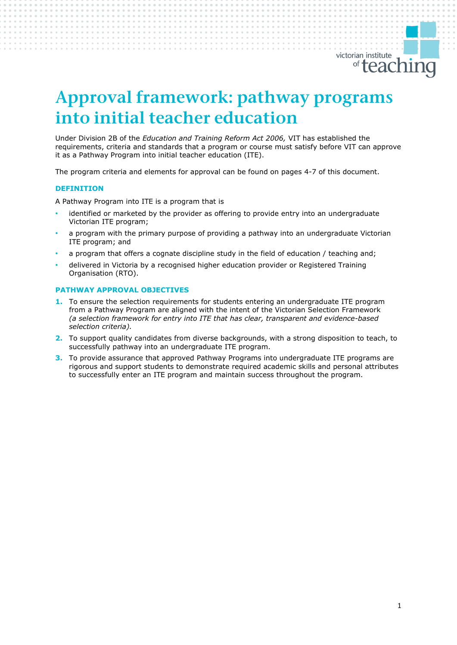

# *Approval framework: pathway programs into initial teacher education*

Under Division 2B of the *Education and Training Reform Act 2006,* VIT has established the requirements, criteria and standards that a program or course must satisfy before VIT can approve it as a Pathway Program into initial teacher education (ITE).

The program criteria and elements for approval can be found on pages 4-7 of this document.

## **DEFINITION**

A Pathway Program into ITE is a program that is

- identified or marketed by the provider as offering to provide entry into an undergraduate Victorian ITE program;
- a program with the primary purpose of providing a pathway into an undergraduate Victorian ITE program; and
- a program that offers a cognate discipline study in the field of education / teaching and;
- delivered in Victoria by a recognised higher education provider or Registered Training Organisation (RTO).

## **PATHWAY APPROVAL OBJECTIVES**

- **1.** To ensure the selection requirements for students entering an undergraduate ITE program from a Pathway Program are aligned with the intent of the Victorian Selection Framework *(a selection framework for entry into ITE that has clear, transparent and evidence-based selection criteria).*
- **2.** To support quality candidates from diverse backgrounds, with a strong disposition to teach, to successfully pathway into an undergraduate ITE program.
- **3.** To provide assurance that approved Pathway Programs into undergraduate ITE programs are rigorous and support students to demonstrate required academic skills and personal attributes to successfully enter an ITE program and maintain success throughout the program.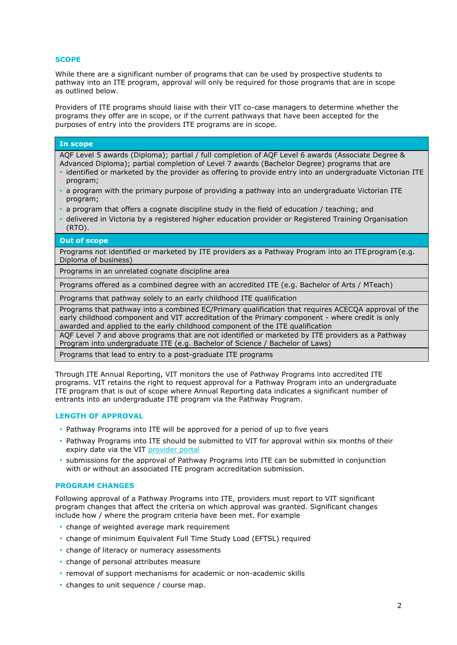# **SCOPE**

While there are a significant number of programs that can be used by prospective students to pathway into an ITE program, approval will only be required for those programs that are in scope as outlined below.

Providers of ITE programs should liaise with their VIT co-case managers to determine whether the programs they offer are in scope, or if the current pathways that have been accepted for the purposes of entry into the providers ITE programs are in scope.

#### **In scope**

AQF Level 5 awards (Diploma); partial / full completion of AQF Level 6 awards (Associate Degree &

- Advanced Diploma); partial completion of Level 7 awards (Bachelor Degree) programs that are • identified or marketed by the provider as offering to provide entry into an undergraduate Victorian ITE
- program;
- a program with the primary purpose of providing a pathway into an undergraduate Victorian ITE program;
- a program that offers a cognate discipline study in the field of education / teaching; and
- delivered in Victoria by a registered higher education provider or Registered Training Organisation (RTO).

#### **Out of scope**

Programs not identified or marketed by ITE providers as a Pathway Program into an ITE program (e.g. Diploma of business)

Programs in an unrelated cognate discipline area

Programs offered as a combined degree with an accredited ITE (e.g. Bachelor of Arts / MTeach)

Programs that pathway solely to an early childhood ITE qualification

Programs that pathway into a combined EC/Primary qualification that requires ACECQA approval of the early childhood component and VIT accreditation of the Primary component - where credit is only awarded and applied to the early childhood component of the ITE qualification

AQF Level 7 and above programs that are not identified or marketed by ITE providers as a Pathway Program into undergraduate ITE (e.g. Bachelor of Science / Bachelor of Laws)

Programs that lead to entry to a post-graduate ITE programs

Through ITE Annual Reporting, VIT monitors the use of Pathway Programs into accredited ITE programs. VIT retains the right to request approval for a Pathway Program into an undergraduate ITE program that is out of scope where Annual Reporting data indicates a significant number of entrants into an undergraduate ITE program via the Pathway Program.

# **LENGTH OF APPROVAL**

- Pathway Programs into ITE will be approved for a period of up to five years
- Pathway Programs into ITE should be submitted to VIT for approval within six months of their expiry date via the VIT [provider portal](https://nexus.vit.vic.edu.au/employer/login)
- submissions for the approval of Pathway Programs into ITE can be submitted in conjunction with or without an associated ITE program accreditation submission.

## **PROGRAM CHANGES**

Following approval of a Pathway Programs into ITE, providers must report to VIT significant program changes that affect the criteria on which approval was granted. Significant changes include how / where the program criteria have been met. For example

- change of weighted average mark requirement
- change of minimum Equivalent Full Time Study Load (EFTSL) required
- change of literacy or numeracy assessments
- change of personal attributes measure
- removal of support mechanisms for academic or non-academic skills
- changes to unit sequence / course map.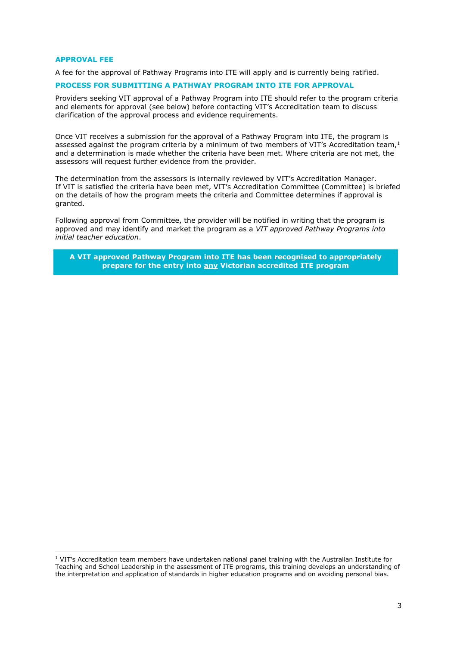#### **APPROVAL FEE**

A fee for the approval of Pathway Programs into ITE will apply and is currently being ratified.

# **PROCESS FOR SUBMITTING A PATHWAY PROGRAM INTO ITE FOR APPROVAL**

Providers seeking VIT approval of a Pathway Program into ITE should refer to the program criteria and elements for approval (see below) before contacting VIT's Accreditation team to discuss clarification of the approval process and evidence requirements.

Once VIT receives a submission for the approval of a Pathway Program into ITE, the program is assessed against the program criteria by a minimum of two members of VIT's Accreditation team, $<sup>1</sup>$ </sup> and a determination is made whether the criteria have been met. Where criteria are not met, the assessors will request further evidence from the provider.

The determination from the assessors is internally reviewed by VIT's Accreditation Manager. If VIT is satisfied the criteria have been met, VIT's Accreditation Committee (Committee) is briefed on the details of how the program meets the criteria and Committee determines if approval is granted.

Following approval from Committee, the provider will be notified in writing that the program is approved and may identify and market the program as a *VIT approved Pathway Programs into initial teacher education*.

**A VIT approved Pathway Program into ITE has been recognised to appropriately prepare for the entry into any Victorian accredited ITE program**

<sup>1</sup> VIT's Accreditation team members have undertaken national panel training with the Australian Institute for Teaching and School Leadership in the assessment of ITE programs, this training develops an understanding of the interpretation and application of standards in higher education programs and on avoiding personal bias.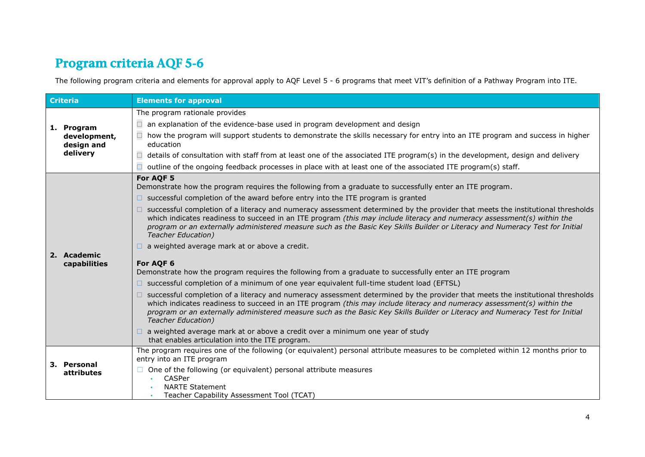# *Program criteria AQF 5-6*

The following program criteria and elements for approval apply to AQF Level 5 - 6 programs that meet VIT's definition of a Pathway Program into ITE.

| <b>Criteria</b> |                                                      | <b>Elements for approval</b>                                                                                                                                                                                                                                                                                                                                                                                           |
|-----------------|------------------------------------------------------|------------------------------------------------------------------------------------------------------------------------------------------------------------------------------------------------------------------------------------------------------------------------------------------------------------------------------------------------------------------------------------------------------------------------|
|                 | 1. Program<br>development,<br>design and<br>delivery | The program rationale provides                                                                                                                                                                                                                                                                                                                                                                                         |
|                 |                                                      | an explanation of the evidence-base used in program development and design<br>□                                                                                                                                                                                                                                                                                                                                        |
|                 |                                                      | how the program will support students to demonstrate the skills necessary for entry into an ITE program and success in higher<br>education                                                                                                                                                                                                                                                                             |
|                 |                                                      | details of consultation with staff from at least one of the associated ITE program(s) in the development, design and delivery<br>$\Box$                                                                                                                                                                                                                                                                                |
|                 |                                                      | outline of the ongoing feedback processes in place with at least one of the associated ITE program(s) staff.<br>□                                                                                                                                                                                                                                                                                                      |
|                 | 2. Academic<br>capabilities                          | For AQF 5<br>Demonstrate how the program requires the following from a graduate to successfully enter an ITE program.                                                                                                                                                                                                                                                                                                  |
|                 |                                                      | $\Box$ successful completion of the award before entry into the ITE program is granted                                                                                                                                                                                                                                                                                                                                 |
|                 |                                                      | successful completion of a literacy and numeracy assessment determined by the provider that meets the institutional thresholds<br>which indicates readiness to succeed in an ITE program (this may include literacy and numeracy assessment(s) within the<br>program or an externally administered measure such as the Basic Key Skills Builder or Literacy and Numeracy Test for Initial<br><b>Teacher Education)</b> |
|                 |                                                      | a weighted average mark at or above a credit.                                                                                                                                                                                                                                                                                                                                                                          |
|                 |                                                      | For AQF 6<br>Demonstrate how the program requires the following from a graduate to successfully enter an ITE program                                                                                                                                                                                                                                                                                                   |
|                 |                                                      | □ successful completion of a minimum of one year equivalent full-time student load (EFTSL)                                                                                                                                                                                                                                                                                                                             |
|                 |                                                      | successful completion of a literacy and numeracy assessment determined by the provider that meets the institutional thresholds<br>which indicates readiness to succeed in an ITE program (this may include literacy and numeracy assessment(s) within the<br>program or an externally administered measure such as the Basic Key Skills Builder or Literacy and Numeracy Test for Initial<br><b>Teacher Education)</b> |
|                 |                                                      | a weighted average mark at or above a credit over a minimum one year of study<br>that enables articulation into the ITE program.                                                                                                                                                                                                                                                                                       |
|                 | 3. Personal<br><b>attributes</b>                     | The program requires one of the following (or equivalent) personal attribute measures to be completed within 12 months prior to<br>entry into an ITE program                                                                                                                                                                                                                                                           |
|                 |                                                      | One of the following (or equivalent) personal attribute measures<br>CASPer<br><b>NARTE Statement</b><br>Teacher Capability Assessment Tool (TCAT)                                                                                                                                                                                                                                                                      |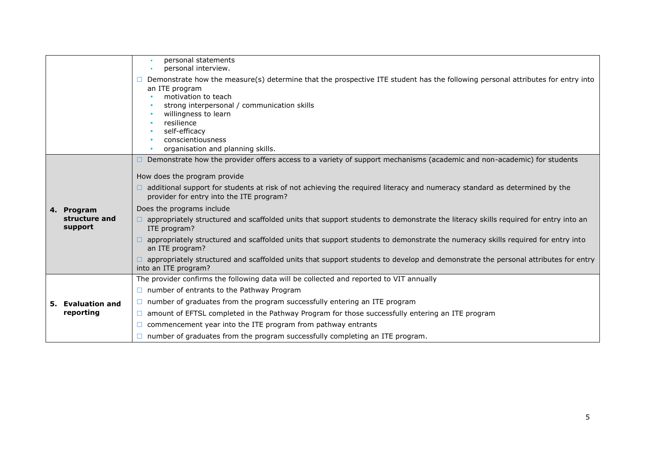|  |                                        | personal statements<br>personal interview.                                                                                                                                                                                                                                                                                              |
|--|----------------------------------------|-----------------------------------------------------------------------------------------------------------------------------------------------------------------------------------------------------------------------------------------------------------------------------------------------------------------------------------------|
|  |                                        | Demonstrate how the measure(s) determine that the prospective ITE student has the following personal attributes for entry into<br>an ITE program<br>motivation to teach<br>strong interpersonal / communication skills<br>willingness to learn<br>resilience<br>self-efficacy<br>conscientiousness<br>organisation and planning skills. |
|  | 4. Program<br>structure and<br>support | Demonstrate how the provider offers access to a variety of support mechanisms (academic and non-academic) for students                                                                                                                                                                                                                  |
|  |                                        | How does the program provide                                                                                                                                                                                                                                                                                                            |
|  |                                        | additional support for students at risk of not achieving the required literacy and numeracy standard as determined by the<br>provider for entry into the ITE program?                                                                                                                                                                   |
|  |                                        | Does the programs include                                                                                                                                                                                                                                                                                                               |
|  |                                        | appropriately structured and scaffolded units that support students to demonstrate the literacy skills required for entry into an<br>ITE program?                                                                                                                                                                                       |
|  |                                        | appropriately structured and scaffolded units that support students to demonstrate the numeracy skills required for entry into<br>an ITE program?                                                                                                                                                                                       |
|  |                                        | appropriately structured and scaffolded units that support students to develop and demonstrate the personal attributes for entry<br>into an ITE program?                                                                                                                                                                                |
|  | 5. Evaluation and<br>reporting         | The provider confirms the following data will be collected and reported to VIT annually                                                                                                                                                                                                                                                 |
|  |                                        | $\Box$ number of entrants to the Pathway Program                                                                                                                                                                                                                                                                                        |
|  |                                        | $\Box$ number of graduates from the program successfully entering an ITE program                                                                                                                                                                                                                                                        |
|  |                                        | $\Box$ amount of EFTSL completed in the Pathway Program for those successfully entering an ITE program                                                                                                                                                                                                                                  |
|  |                                        | commencement year into the ITE program from pathway entrants                                                                                                                                                                                                                                                                            |
|  |                                        | number of graduates from the program successfully completing an ITE program.                                                                                                                                                                                                                                                            |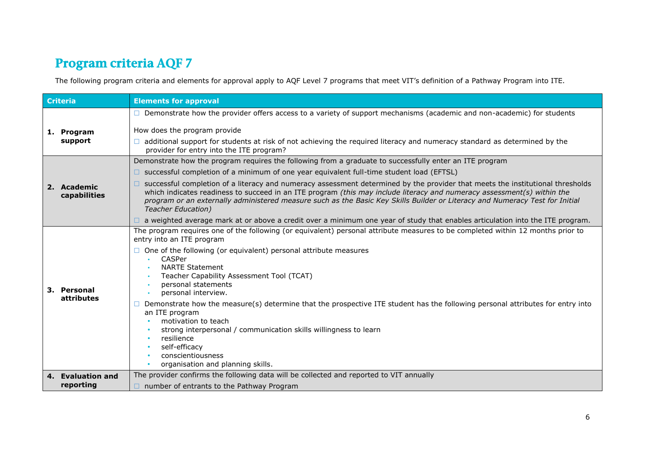# *Program criteria AQF 7*

The following program criteria and elements for approval apply to AQF Level 7 programs that meet VIT's definition of a Pathway Program into ITE.

| <b>Criteria</b> |                             | <b>Elements for approval</b>                                                                                                                                                                                                                                                                                                                                                                                           |
|-----------------|-----------------------------|------------------------------------------------------------------------------------------------------------------------------------------------------------------------------------------------------------------------------------------------------------------------------------------------------------------------------------------------------------------------------------------------------------------------|
|                 | 1. Program<br>support       | Demonstrate how the provider offers access to a variety of support mechanisms (academic and non-academic) for students                                                                                                                                                                                                                                                                                                 |
|                 |                             | How does the program provide                                                                                                                                                                                                                                                                                                                                                                                           |
|                 |                             | additional support for students at risk of not achieving the required literacy and numeracy standard as determined by the<br>provider for entry into the ITE program?                                                                                                                                                                                                                                                  |
|                 | 2. Academic<br>capabilities | Demonstrate how the program requires the following from a graduate to successfully enter an ITE program                                                                                                                                                                                                                                                                                                                |
|                 |                             | $\Box$ successful completion of a minimum of one year equivalent full-time student load (EFTSL)                                                                                                                                                                                                                                                                                                                        |
|                 |                             | successful completion of a literacy and numeracy assessment determined by the provider that meets the institutional thresholds<br>which indicates readiness to succeed in an ITE program (this may include literacy and numeracy assessment(s) within the<br>program or an externally administered measure such as the Basic Key Skills Builder or Literacy and Numeracy Test for Initial<br><b>Teacher Education)</b> |
|                 |                             | a weighted average mark at or above a credit over a minimum one year of study that enables articulation into the ITE program.                                                                                                                                                                                                                                                                                          |
|                 | 3. Personal<br>attributes   | The program requires one of the following (or equivalent) personal attribute measures to be completed within 12 months prior to<br>entry into an ITE program                                                                                                                                                                                                                                                           |
|                 |                             | One of the following (or equivalent) personal attribute measures<br>CASPer<br><b>NARTE Statement</b><br>Teacher Capability Assessment Tool (TCAT)<br>personal statements<br>personal interview.                                                                                                                                                                                                                        |
|                 |                             | Demonstrate how the measure(s) determine that the prospective ITE student has the following personal attributes for entry into<br>an ITE program<br>motivation to teach<br>strong interpersonal / communication skills willingness to learn<br>resilience<br>self-efficacy<br>conscientiousness<br>organisation and planning skills.                                                                                   |
|                 | 4. Evaluation and           | The provider confirms the following data will be collected and reported to VIT annually                                                                                                                                                                                                                                                                                                                                |
|                 | reporting                   | $\Box$ number of entrants to the Pathway Program                                                                                                                                                                                                                                                                                                                                                                       |